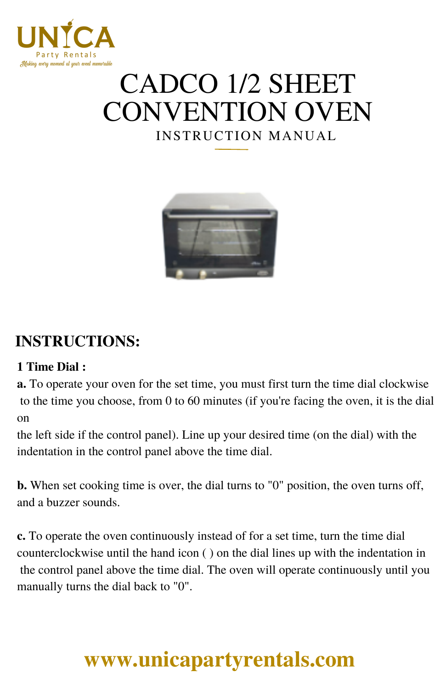

# INSTRUCTION MANUAL CADCO 1/2 SHEET CONVENTION OVEN



## **INSTRUCTIONS:**

### **1 Time Dial :**

**a.** To operate your oven for the set time, you must first turn the time dial clockwise to the time you choose, from 0 to 60 minutes (if you're facing the oven, it is the dial on

the left side if the control panel). Line up your desired time (on the dial) with the indentation in the control panel above the time dial.

**b.** When set cooking time is over, the dial turns to "0" position, the oven turns off, and a buzzer sounds.

**c.** To operate the oven continuously instead of for a set time, turn the time dial counterclockwise until the hand icon ( ) on the dial lines up with the indentation in the control panel above the time dial. The oven will operate continuously until you manually turns the dial back to "0".

## **[www.unicapartyrentals.com](https://www.unicapartyrentals.com/contact)**